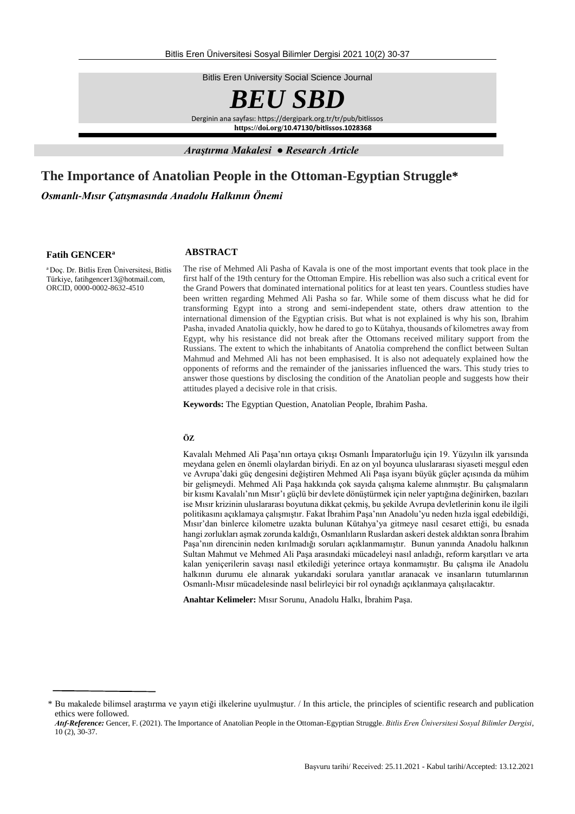Bitlis Eren University Social Science Journal



Derginin ana sayfası: https://dergipark.org.tr/tr/pub/bitlissos **https://doi.org/10.47130/bitlissos.1028368**

*Araştırma Makalesi ● Research Article*

# **The Importance of Anatolian People in the Ottoman-Egyptian Struggle\***

*Osmanlı-Mısır Çatışmasında Anadolu Halkının Önemi*

#### **Fatih GENCER<sup>a</sup>**

<sup>a</sup>Doç. Dr. Bitlis Eren Üniversitesi, Bitlis Türkiye[, fatihgencer13@hotmail.com,](mailto:fatihgencer13@hotmail.com)  ORCID, 0000-0002-8632-4510

### **ABSTRACT**

The rise of Mehmed Ali Pasha of Kavala is one of the most important events that took place in the first half of the 19th century for the Ottoman Empire. His rebellion was also such a critical event for the Grand Powers that dominated international politics for at least ten years. Countless studies have been written regarding Mehmed Ali Pasha so far. While some of them discuss what he did for transforming Egypt into a strong and semi-independent state, others draw attention to the international dimension of the Egyptian crisis. But what is not explained is why his son, Ibrahim Pasha, invaded Anatolia quickly, how he dared to go to Kütahya, thousands of kilometres away from Egypt, why his resistance did not break after the Ottomans received military support from the Russians. The extent to which the inhabitants of Anatolia comprehend the conflict between Sultan Mahmud and Mehmed Ali has not been emphasised. It is also not adequately explained how the opponents of reforms and the remainder of the janissaries influenced the wars. This study tries to answer those questions by disclosing the condition of the Anatolian people and suggests how their attitudes played a decisive role in that crisis.

**Keywords:** The Egyptian Question, Anatolian People, Ibrahim Pasha.

## **ÖZ**

Kavalalı Mehmed Ali Paşa'nın ortaya çıkışı Osmanlı İmparatorluğu için 19. Yüzyılın ilk yarısında meydana gelen en önemli olaylardan biriydi. En az on yıl boyunca uluslararası siyaseti meşgul eden ve Avrupa'daki güç dengesini değiştiren Mehmed Ali Paşa isyanı büyük güçler açısında da mühim bir gelişmeydi. Mehmed Ali Paşa hakkında çok sayıda çalışma kaleme alınmıştır. Bu çalışmaların bir kısmı Kavalalı'nın Mısır'ı güçlü bir devlete dönüştürmek için neler yaptığına değinirken, bazıları ise Mısır krizinin uluslararası boyutuna dikkat çekmiş, bu şekilde Avrupa devletlerinin konu ile ilgili politikasını açıklamaya çalışmıştır. Fakat İbrahim Paşa'nın Anadolu'yu neden hızla işgal edebildiği, Mısır'dan binlerce kilometre uzakta bulunan Kütahya'ya gitmeye nasıl cesaret ettiği, bu esnada hangi zorlukları aşmak zorunda kaldığı, Osmanlıların Ruslardan askeri destek aldıktan sonra İbrahim Paşa'nın direncinin neden kırılmadığı soruları açıklanmamıştır. Bunun yanında Anadolu halkının Sultan Mahmut ve Mehmed Ali Paşa arasındaki mücadeleyi nasıl anladığı, reform karşıtları ve arta kalan yeniçerilerin savaşı nasıl etkilediği yeterince ortaya konmamıştır. Bu çalışma ile Anadolu halkının durumu ele alınarak yukarıdaki sorulara yanıtlar aranacak ve insanların tutumlarının Osmanlı-Mısır mücadelesinde nasıl belirleyici bir rol oynadığı açıklanmaya çalışılacaktır.

**Anahtar Kelimeler:** Mısır Sorunu, Anadolu Halkı, İbrahim Paşa.

<sup>\*</sup> Bu makalede bilimsel araştırma ve yayın etiği ilkelerine uyulmuştur. / In this article, the principles of scientific research and publication ethics were followed.

*Atıf-Reference:* Gencer, F. (2021). The Importance of Anatolian People in the Ottoman-Egyptian Struggle. *Bitlis Eren Üniversitesi Sosyal Bilimler Dergisi*, 10 (2), 30-37.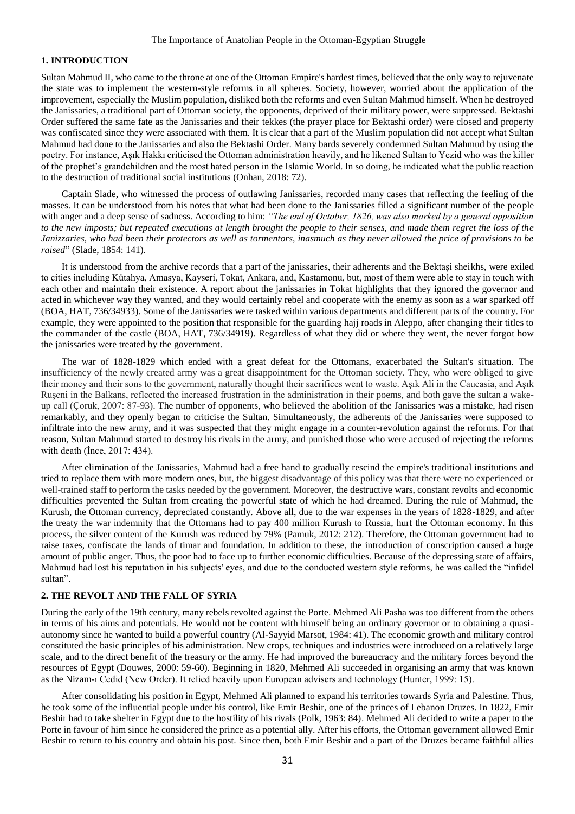## **1. INTRODUCTION**

Sultan Mahmud II, who came to the throne at one of the Ottoman Empire's hardest times, believed that the only way to rejuvenate the state was to implement the western-style reforms in all spheres. Society, however, worried about the application of the improvement, especially the Muslim population, disliked both the reforms and even Sultan Mahmud himself. When he destroyed the Janissaries, a traditional part of Ottoman society, the opponents, deprived of their military power, were suppressed. Bektashi Order suffered the same fate as the Janissaries and their tekkes (the prayer place for Bektashi order) were closed and property was confiscated since they were associated with them. It is clear that a part of the Muslim population did not accept what Sultan Mahmud had done to the Janissaries and also the Bektashi Order. Many bards severely condemned Sultan Mahmud by using the poetry. For instance, Aşık Hakkı criticised the Ottoman administration heavily, and he likened Sultan to Yezid who was the killer of the prophet's grandchildren and the most hated person in the Islamic World. In so doing, he indicated what the public reaction to the destruction of traditional social institutions (Onhan, 2018: 72).

Captain Slade, who witnessed the process of outlawing Janissaries, recorded many cases that reflecting the feeling of the masses. It can be understood from his notes that what had been done to the Janissaries filled a significant number of the people with anger and a deep sense of sadness. According to him: *"The end of October, 1826, was also marked by a general opposition to the new imposts; but repeated executions at length brought the people to their senses, and made them regret the loss of the Janizzaries, who had been their protectors as well as tormentors, inasmuch as they never allowed the price of provisions to be raised*" (Slade, 1854: 141).

It is understood from the archive records that a part of the janissaries, their adherents and the Bektaşi sheikhs, were exiled to cities including Kütahya, Amasya, Kayseri, Tokat, Ankara, and, Kastamonu, but, most of them were able to stay in touch with each other and maintain their existence. A report about the janissaries in Tokat highlights that they ignored the governor and acted in whichever way they wanted, and they would certainly rebel and cooperate with the enemy as soon as a war sparked off (BOA, HAT, 736/34933). Some of the Janissaries were tasked within various departments and different parts of the country. For example, they were appointed to the position that responsible for the guarding hajj roads in Aleppo, after changing their titles to the commander of the castle (BOA, HAT, 736/34919). Regardless of what they did or where they went, the never forgot how the janissaries were treated by the government.

The war of 1828-1829 which ended with a great defeat for the Ottomans, exacerbated the Sultan's situation. The insufficiency of the newly created army was a great disappointment for the Ottoman society. They, who were obliged to give their money and their sons to the government, naturally thought their sacrifices went to waste. Aşık Ali in the Caucasia, and Aşık Ruşeni in the Balkans, reflected the increased frustration in the administration in their poems, and both gave the sultan a wakeup call (Çoruk, 2007: 87-93). The number of opponents, who believed the abolition of the Janissaries was a mistake, had risen remarkably, and they openly began to criticise the Sultan. Simultaneously, the adherents of the Janissaries were supposed to infiltrate into the new army, and it was suspected that they might engage in a counter-revolution against the reforms. For that reason, Sultan Mahmud started to destroy his rivals in the army, and punished those who were accused of rejecting the reforms with death (İnce, 2017: 434).

After elimination of the Janissaries, Mahmud had a free hand to gradually rescind the empire's traditional institutions and tried to replace them with more modern ones, but, the biggest disadvantage of this policy was that there were no experienced or well-trained staff to perform the tasks needed by the government. Moreover, the destructive wars, constant revolts and economic difficulties prevented the Sultan from creating the powerful state of which he had dreamed. During the rule of Mahmud, the Kurush, the Ottoman currency, depreciated constantly. Above all, due to the war expenses in the years of 1828-1829, and after the treaty the war indemnity that the Ottomans had to pay 400 million Kurush to Russia, hurt the Ottoman economy. In this process, the silver content of the Kurush was reduced by 79% (Pamuk, 2012: 212). Therefore, the Ottoman government had to raise taxes, confiscate the lands of timar and foundation. In addition to these, the introduction of conscription caused a huge amount of public anger. Thus, the poor had to face up to further economic difficulties. Because of the depressing state of affairs, Mahmud had lost his reputation in his subjects' eyes, and due to the conducted western style reforms, he was called the "infidel sultan".

## **2. THE REVOLT AND THE FALL OF SYRIA**

During the early of the 19th century, many rebels revolted against the Porte. Mehmed Ali Pasha was too different from the others in terms of his aims and potentials. He would not be content with himself being an ordinary governor or to obtaining a quasiautonomy since he wanted to build a powerful country (Al-Sayyid Marsot, 1984: 41). The economic growth and military control constituted the basic principles of his administration. New crops, techniques and industries were introduced on a relatively large scale, and to the direct benefit of the treasury or the army. He had improved the bureaucracy and the military forces beyond the resources of Egypt (Douwes, 2000: 59-60). Beginning in 1820, Mehmed Ali succeeded in organising an army that was known as the Nizam-ı Cedid (New Order). It relied heavily upon European advisers and technology (Hunter, 1999: 15).

After consolidating his position in Egypt, Mehmed Ali planned to expand his territories towards Syria and Palestine. Thus, he took some of the influential people under his control, like Emir Beshir, one of the princes of Lebanon Druzes. In 1822, Emir Beshir had to take shelter in Egypt due to the hostility of his rivals (Polk, 1963: 84). Mehmed Ali decided to write a paper to the Porte in favour of him since he considered the prince as a potential ally. After his efforts, the Ottoman government allowed Emir Beshir to return to his country and obtain his post. Since then, both Emir Beshir and a part of the Druzes became faithful allies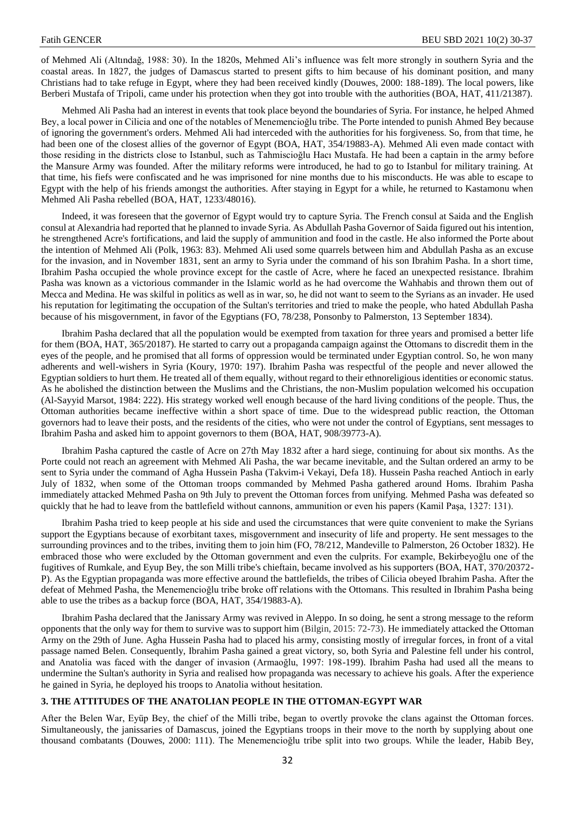of Mehmed Ali (Altındağ, 1988: 30). In the 1820s, Mehmed Ali's influence was felt more strongly in southern Syria and the coastal areas. In 1827, the judges of Damascus started to present gifts to him because of his dominant position, and many Christians had to take refuge in Egypt, where they had been received kindly (Douwes, 2000: 188-189). The local powers, like Berberi Mustafa of Tripoli, came under his protection when they got into trouble with the authorities (BOA, HAT, 411/21387).

Mehmed Ali Pasha had an interest in events that took place beyond the boundaries of Syria. For instance, he helped Ahmed Bey, a local power in Cilicia and one of the notables of Menemencioğlu tribe. The Porte intended to punish Ahmed Bey because of ignoring the government's orders. Mehmed Ali had interceded with the authorities for his forgiveness. So, from that time, he had been one of the closest allies of the governor of Egypt (BOA, HAT, 354/19883-A). Mehmed Ali even made contact with those residing in the districts close to Istanbul, such as Tahmiscioğlu Hacı Mustafa. He had been a captain in the army before the Mansure Army was founded. After the military reforms were introduced, he had to go to Istanbul for military training. At that time, his fiefs were confiscated and he was imprisoned for nine months due to his misconducts. He was able to escape to Egypt with the help of his friends amongst the authorities. After staying in Egypt for a while, he returned to Kastamonu when Mehmed Ali Pasha rebelled (BOA, HAT, 1233/48016).

Indeed, it was foreseen that the governor of Egypt would try to capture Syria. The French consul at Saida and the English consul at Alexandria had reported that he planned to invade Syria. As Abdullah Pasha Governor of Saida figured out his intention, he strengthened Acre's fortifications, and laid the supply of ammunition and food in the castle. He also informed the Porte about the intention of Mehmed Ali (Polk, 1963: 83). Mehmed Ali used some quarrels between him and Abdullah Pasha as an excuse for the invasion, and in November 1831, sent an army to Syria under the command of his son Ibrahim Pasha. In a short time, Ibrahim Pasha occupied the whole province except for the castle of Acre, where he faced an unexpected resistance. Ibrahim Pasha was known as a victorious commander in the Islamic world as he had overcome the Wahhabis and thrown them out of Mecca and Medina. He was skilful in politics as well as in war, so, he did not want to seem to the Syrians as an invader. He used his reputation for legitimating the occupation of the Sultan's territories and tried to make the people, who hated Abdullah Pasha because of his misgovernment, in favor of the Egyptians (FO, 78/238, Ponsonby to Palmerston, 13 September 1834).

Ibrahim Pasha declared that all the population would be exempted from taxation for three years and promised a better life for them (BOA, HAT, 365/20187). He started to carry out a propaganda campaign against the Ottomans to discredit them in the eyes of the people, and he promised that all forms of oppression would be terminated under Egyptian control. So, he won many adherents and well-wishers in Syria (Koury, 1970: 197). Ibrahim Pasha was respectful of the people and never allowed the Egyptian soldiers to hurt them. He treated all of them equally, without regard to their ethnoreligious identities or economic status. As he abolished the distinction between the Muslims and the Christians, the non-Muslim population welcomed his occupation (Al-Sayyid Marsot, 1984: 222). His strategy worked well enough because of the hard living conditions of the people. Thus, the Ottoman authorities became ineffective within a short space of time. Due to the widespread public reaction, the Ottoman governors had to leave their posts, and the residents of the cities, who were not under the control of Egyptians, sent messages to Ibrahim Pasha and asked him to appoint governors to them (BOA, HAT, 908/39773-A).

Ibrahim Pasha captured the castle of Acre on 27th May 1832 after a hard siege, continuing for about six months. As the Porte could not reach an agreement with Mehmed Ali Pasha, the war became inevitable, and the Sultan ordered an army to be sent to Syria under the command of Agha Hussein Pasha (Takvim-i Vekayi, Defa 18). Hussein Pasha reached Antioch in early July of 1832, when some of the Ottoman troops commanded by Mehmed Pasha gathered around Homs. Ibrahim Pasha immediately attacked Mehmed Pasha on 9th July to prevent the Ottoman forces from unifying. Mehmed Pasha was defeated so quickly that he had to leave from the battlefield without cannons, ammunition or even his papers (Kamil Paşa, 1327: 131).

Ibrahim Pasha tried to keep people at his side and used the circumstances that were quite convenient to make the Syrians support the Egyptians because of exorbitant taxes, misgovernment and insecurity of life and property. He sent messages to the surrounding provinces and to the tribes, inviting them to join him (FO, 78/212, Mandeville to Palmerston, 26 October 1832). He embraced those who were excluded by the Ottoman government and even the culprits. For example, Bekirbeyoğlu one of the fugitives of Rumkale, and Eyup Bey, the son Milli tribe's chieftain, became involved as his supporters (BOA, HAT, 370/20372- P). As the Egyptian propaganda was more effective around the battlefields, the tribes of Cilicia obeyed Ibrahim Pasha. After the defeat of Mehmed Pasha, the Menemencioğlu tribe broke off relations with the Ottomans. This resulted in Ibrahim Pasha being able to use the tribes as a backup force (BOA, HAT, 354/19883-A).

Ibrahim Pasha declared that the Janissary Army was revived in Aleppo. In so doing, he sent a strong message to the reform opponents that the only way for them to survive was to support him (Bilgin, 2015: 72-73). He immediately attacked the Ottoman Army on the 29th of June. Agha Hussein Pasha had to placed his army, consisting mostly of irregular forces, in front of a vital passage named Belen. Consequently, Ibrahim Pasha gained a great victory, so, both Syria and Palestine fell under his control, and Anatolia was faced with the danger of invasion (Armaoğlu, 1997: 198-199). Ibrahim Pasha had used all the means to undermine the Sultan's authority in Syria and realised how propaganda was necessary to achieve his goals. After the experience he gained in Syria, he deployed his troops to Anatolia without hesitation.

### **3. THE ATTITUDES OF THE ANATOLIAN PEOPLE IN THE OTTOMAN-EGYPT WAR**

After the Belen War, Eyüp Bey, the chief of the Milli tribe, began to overtly provoke the clans against the Ottoman forces. Simultaneously, the janissaries of Damascus, joined the Egyptians troops in their move to the north by supplying about one thousand combatants (Douwes, 2000: 111). The Menemencioğlu tribe split into two groups. While the leader, Habib Bey,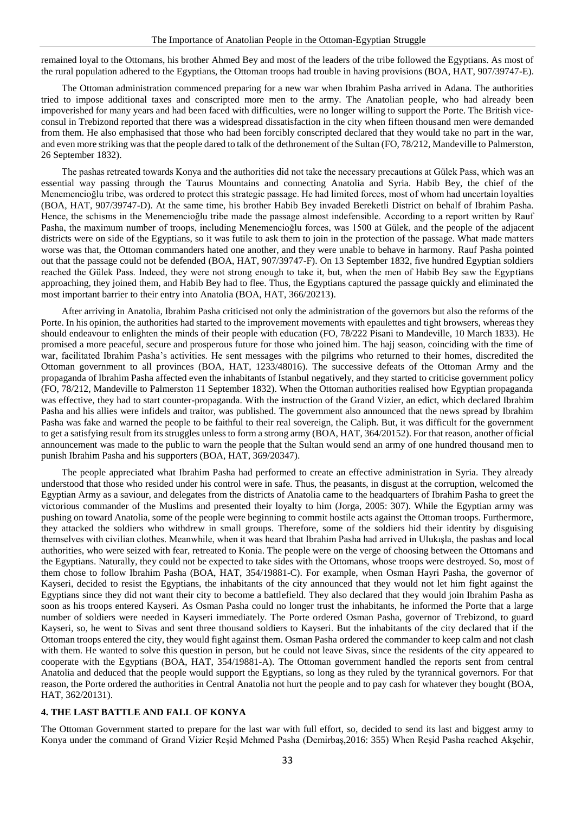remained loyal to the Ottomans, his brother Ahmed Bey and most of the leaders of the tribe followed the Egyptians. As most of the rural population adhered to the Egyptians, the Ottoman troops had trouble in having provisions (BOA, HAT, 907/39747-E).

The Ottoman administration commenced preparing for a new war when Ibrahim Pasha arrived in Adana. The authorities tried to impose additional taxes and conscripted more men to the army. The Anatolian people, who had already been impoverished for many years and had been faced with difficulties, were no longer willing to support the Porte. The British viceconsul in Trebizond reported that there was a widespread dissatisfaction in the city when fifteen thousand men were demanded from them. He also emphasised that those who had been forcibly conscripted declared that they would take no part in the war, and even more striking was that the people dared to talk of the dethronement of the Sultan (FO, 78/212, Mandeville to Palmerston, 26 September 1832).

The pashas retreated towards Konya and the authorities did not take the necessary precautions at Gülek Pass, which was an essential way passing through the Taurus Mountains and connecting Anatolia and Syria. Habib Bey, the chief of the Menemencioğlu tribe, was ordered to protect this strategic passage. He had limited forces, most of whom had uncertain loyalties (BOA, HAT, 907/39747-D). At the same time, his brother Habib Bey invaded Bereketli District on behalf of Ibrahim Pasha. Hence, the schisms in the Menemencioğlu tribe made the passage almost indefensible. According to a report written by Rauf Pasha, the maximum number of troops, including Menemencioğlu forces, was 1500 at Gülek, and the people of the adjacent districts were on side of the Egyptians, so it was futile to ask them to join in the protection of the passage. What made matters worse was that, the Ottoman commanders hated one another, and they were unable to behave in harmony. Rauf Pasha pointed out that the passage could not be defended (BOA, HAT, 907/39747-F). On 13 September 1832, five hundred Egyptian soldiers reached the Gülek Pass. Indeed, they were not strong enough to take it, but, when the men of Habib Bey saw the Egyptians approaching, they joined them, and Habib Bey had to flee. Thus, the Egyptians captured the passage quickly and eliminated the most important barrier to their entry into Anatolia (BOA, HAT, 366/20213).

After arriving in Anatolia, Ibrahim Pasha criticised not only the administration of the governors but also the reforms of the Porte. In his opinion, the authorities had started to the improvement movements with epaulettes and tight browsers, whereas they should endeavour to enlighten the minds of their people with education (FO, 78/222 Pisani to Mandeville, 10 March 1833). He promised a more peaceful, secure and prosperous future for those who joined him. The hajj season, coinciding with the time of war, facilitated Ibrahim Pasha's activities. He sent messages with the pilgrims who returned to their homes, discredited the Ottoman government to all provinces (BOA, HAT, 1233/48016). The successive defeats of the Ottoman Army and the propaganda of Ibrahim Pasha affected even the inhabitants of Istanbul negatively, and they started to criticise government policy (FO, 78/212, Mandeville to Palmerston 11 September 1832). When the Ottoman authorities realised how Egyptian propaganda was effective, they had to start counter-propaganda. With the instruction of the Grand Vizier, an edict, which declared Ibrahim Pasha and his allies were infidels and traitor, was published. The government also announced that the news spread by Ibrahim Pasha was fake and warned the people to be faithful to their real sovereign, the Caliph. But, it was difficult for the government to get a satisfying result from its struggles unless to form a strong army (BOA, HAT, 364/20152). For that reason, another official announcement was made to the public to warn the people that the Sultan would send an army of one hundred thousand men to punish Ibrahim Pasha and his supporters (BOA, HAT, 369/20347).

The people appreciated what Ibrahim Pasha had performed to create an effective administration in Syria. They already understood that those who resided under his control were in safe. Thus, the peasants, in disgust at the corruption, welcomed the Egyptian Army as a saviour, and delegates from the districts of Anatolia came to the headquarters of Ibrahim Pasha to greet the victorious commander of the Muslims and presented their loyalty to him (Jorga, 2005: 307). While the Egyptian army was pushing on toward Anatolia, some of the people were beginning to commit hostile acts against the Ottoman troops. Furthermore, they attacked the soldiers who withdrew in small groups. Therefore, some of the soldiers hid their identity by disguising themselves with civilian clothes. Meanwhile, when it was heard that Ibrahim Pasha had arrived in Ulukışla, the pashas and local authorities, who were seized with fear, retreated to Konia. The people were on the verge of choosing between the Ottomans and the Egyptians. Naturally, they could not be expected to take sides with the Ottomans, whose troops were destroyed. So, most of them chose to follow Ibrahim Pasha (BOA, HAT, 354/19881-C). For example, when Osman Hayri Pasha, the governor of Kayseri, decided to resist the Egyptians, the inhabitants of the city announced that they would not let him fight against the Egyptians since they did not want their city to become a battlefield. They also declared that they would join Ibrahim Pasha as soon as his troops entered Kayseri. As Osman Pasha could no longer trust the inhabitants, he informed the Porte that a large number of soldiers were needed in Kayseri immediately. The Porte ordered Osman Pasha, governor of Trebizond, to guard Kayseri, so, he went to Sivas and sent three thousand soldiers to Kayseri. But the inhabitants of the city declared that if the Ottoman troops entered the city, they would fight against them. Osman Pasha ordered the commander to keep calm and not clash with them. He wanted to solve this question in person, but he could not leave Sivas, since the residents of the city appeared to cooperate with the Egyptians (BOA, HAT, 354/19881-A). The Ottoman government handled the reports sent from central Anatolia and deduced that the people would support the Egyptians, so long as they ruled by the tyrannical governors. For that reason, the Porte ordered the authorities in Central Anatolia not hurt the people and to pay cash for whatever they bought (BOA, HAT, 362/20131).

### **4. THE LAST BATTLE AND FALL OF KONYA**

The Ottoman Government started to prepare for the last war with full effort, so, decided to send its last and biggest army to Konya under the command of Grand Vizier Reşid Mehmed Pasha (Demirbaş,2016: 355) When Reşid Pasha reached Akşehir,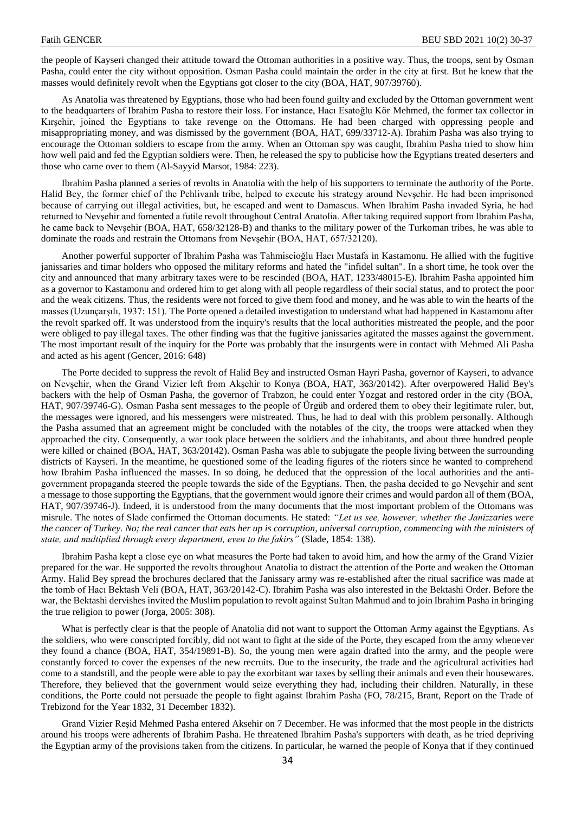the people of Kayseri changed their attitude toward the Ottoman authorities in a positive way. Thus, the troops, sent by Osman Pasha, could enter the city without opposition. Osman Pasha could maintain the order in the city at first. But he knew that the masses would definitely revolt when the Egyptians got closer to the city (BOA, HAT, 907/39760).

As Anatolia was threatened by Egyptians, those who had been found guilty and excluded by the Ottoman government went to the headquarters of Ibrahim Pasha to restore their loss. For instance, Hacı Esatoğlu Kör Mehmed, the former tax collector in Kırşehir, joined the Egyptians to take revenge on the Ottomans. He had been charged with oppressing people and misappropriating money, and was dismissed by the government (BOA, HAT, 699/33712-A). Ibrahim Pasha was also trying to encourage the Ottoman soldiers to escape from the army. When an Ottoman spy was caught, Ibrahim Pasha tried to show him how well paid and fed the Egyptian soldiers were. Then, he released the spy to publicise how the Egyptians treated deserters and those who came over to them (Al-Sayyid Marsot, 1984: 223).

Ibrahim Pasha planned a series of revolts in Anatolia with the help of his supporters to terminate the authority of the Porte. Halid Bey, the former chief of the Pehlivanlı tribe, helped to execute his strategy around Nevşehir. He had been imprisoned because of carrying out illegal activities, but, he escaped and went to Damascus. When Ibrahim Pasha invaded Syria, he had returned to Nevşehir and fomented a futile revolt throughout Central Anatolia. After taking required support from Ibrahim Pasha, he came back to Nevşehir (BOA, HAT, 658/32128-B) and thanks to the military power of the Turkoman tribes, he was able to dominate the roads and restrain the Ottomans from Nevşehir (BOA, HAT, 657/32120).

Another powerful supporter of Ibrahim Pasha was Tahmiscioğlu Hacı Mustafa in Kastamonu. He allied with the fugitive janissaries and timar holders who opposed the military reforms and hated the "infidel sultan". In a short time, he took over the city and announced that many arbitrary taxes were to be rescinded (BOA, HAT, 1233/48015-E). Ibrahim Pasha appointed him as a governor to Kastamonu and ordered him to get along with all people regardless of their social status, and to protect the poor and the weak citizens. Thus, the residents were not forced to give them food and money, and he was able to win the hearts of the masses (Uzunçarşılı, 1937: 151). The Porte opened a detailed investigation to understand what had happened in Kastamonu after the revolt sparked off. It was understood from the inquiry's results that the local authorities mistreated the people, and the poor were obliged to pay illegal taxes. The other finding was that the fugitive janissaries agitated the masses against the government. The most important result of the inquiry for the Porte was probably that the insurgents were in contact with Mehmed Ali Pasha and acted as his agent (Gencer, 2016: 648)

The Porte decided to suppress the revolt of Halid Bey and instructed Osman Hayri Pasha, governor of Kayseri, to advance on Nevşehir, when the Grand Vizier left from Akşehir to Konya (BOA, HAT, 363/20142). After overpowered Halid Bey's backers with the help of Osman Pasha, the governor of Trabzon, he could enter Yozgat and restored order in the city (BOA, HAT, 907/39746-G). Osman Pasha sent messages to the people of Ürgüb and ordered them to obey their legitimate ruler, but, the messages were ignored, and his messengers were mistreated. Thus, he had to deal with this problem personally. Although the Pasha assumed that an agreement might be concluded with the notables of the city, the troops were attacked when they approached the city. Consequently, a war took place between the soldiers and the inhabitants, and about three hundred people were killed or chained (BOA, HAT, 363/20142). Osman Pasha was able to subjugate the people living between the surrounding districts of Kayseri. In the meantime, he questioned some of the leading figures of the rioters since he wanted to comprehend how Ibrahim Pasha influenced the masses. In so doing, he deduced that the oppression of the local authorities and the antigovernment propaganda steered the people towards the side of the Egyptians. Then, the pasha decided to go Nevşehir and sent a message to those supporting the Egyptians, that the government would ignore their crimes and would pardon all of them (BOA, HAT, 907/39746-J). Indeed, it is understood from the many documents that the most important problem of the Ottomans was misrule. The notes of Slade confirmed the Ottoman documents. He stated: *"Let us see, however, whether the Janizzaries were the cancer of Turkey. No; the real cancer that eats her up is corruption, universal corruption, commencing with the ministers of state, and multiplied through every department, even to the fakirs"* (Slade, 1854: 138)*.* 

Ibrahim Pasha kept a close eye on what measures the Porte had taken to avoid him, and how the army of the Grand Vizier prepared for the war. He supported the revolts throughout Anatolia to distract the attention of the Porte and weaken the Ottoman Army. Halid Bey spread the brochures declared that the Janissary army was re-established after the ritual sacrifice was made at the tomb of Hacı Bektash Veli (BOA, HAT, 363/20142-C). Ibrahim Pasha was also interested in the Bektashi Order. Before the war, the Bektashi dervishes invited the Muslim population to revolt against Sultan Mahmud and to join Ibrahim Pasha in bringing the true religion to power (Jorga, 2005: 308).

What is perfectly clear is that the people of Anatolia did not want to support the Ottoman Army against the Egyptians. As the soldiers, who were conscripted forcibly, did not want to fight at the side of the Porte, they escaped from the army whenever they found a chance (BOA, HAT, 354/19891-B). So, the young men were again drafted into the army, and the people were constantly forced to cover the expenses of the new recruits. Due to the insecurity, the trade and the agricultural activities had come to a standstill, and the people were able to pay the exorbitant war taxes by selling their animals and even their housewares. Therefore, they believed that the government would seize everything they had, including their children. Naturally, in these conditions, the Porte could not persuade the people to fight against Ibrahim Pasha (FO, 78/215, Brant, Report on the Trade of Trebizond for the Year 1832, 31 December 1832).

Grand Vizier Reşid Mehmed Pasha entered Aksehir on 7 December. He was informed that the most people in the districts around his troops were adherents of Ibrahim Pasha. He threatened Ibrahim Pasha's supporters with death, as he tried depriving the Egyptian army of the provisions taken from the citizens. In particular, he warned the people of Konya that if they continued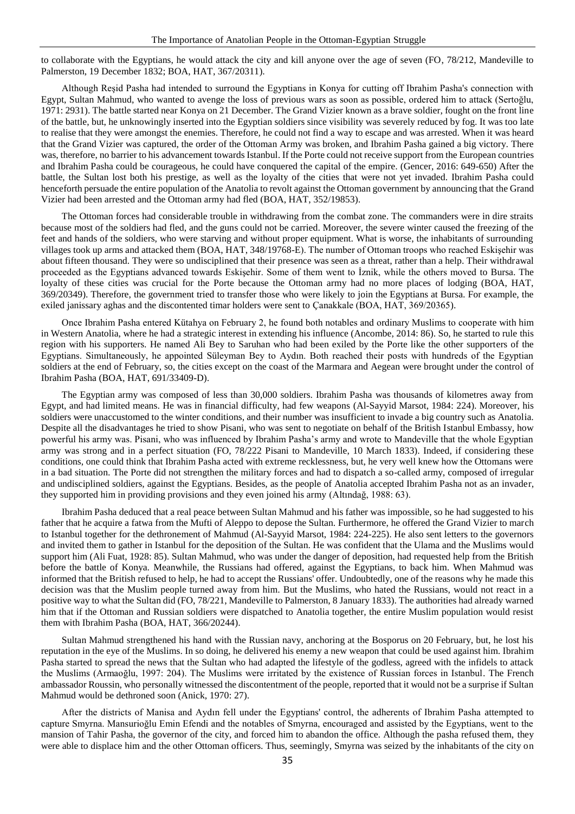to collaborate with the Egyptians, he would attack the city and kill anyone over the age of seven (FO, 78/212, Mandeville to Palmerston, 19 December 1832; BOA, HAT, 367/20311).

Although Reşid Pasha had intended to surround the Egyptians in Konya for cutting off Ibrahim Pasha's connection with Egypt, Sultan Mahmud, who wanted to avenge the loss of previous wars as soon as possible, ordered him to attack (Sertoğlu, 1971: 2931). The battle started near Konya on 21 December. The Grand Vizier known as a brave soldier, fought on the front line of the battle, but, he unknowingly inserted into the Egyptian soldiers since visibility was severely reduced by fog. It was too late to realise that they were amongst the enemies. Therefore, he could not find a way to escape and was arrested. When it was heard that the Grand Vizier was captured, the order of the Ottoman Army was broken, and Ibrahim Pasha gained a big victory. There was, therefore, no barrier to his advancement towards Istanbul. If the Porte could not receive support from the European countries and Ibrahim Pasha could be courageous, he could have conquered the capital of the empire. (Gencer, 2016: 649-650) After the battle, the Sultan lost both his prestige, as well as the loyalty of the cities that were not yet invaded. Ibrahim Pasha could henceforth persuade the entire population of the Anatolia to revolt against the Ottoman government by announcing that the Grand Vizier had been arrested and the Ottoman army had fled (BOA, HAT, 352/19853).

The Ottoman forces had considerable trouble in withdrawing from the combat zone. The commanders were in dire straits because most of the soldiers had fled, and the guns could not be carried. Moreover, the severe winter caused the freezing of the feet and hands of the soldiers, who were starving and without proper equipment. What is worse, the inhabitants of surrounding villages took up arms and attacked them (BOA, HAT, 348/19768-E). The number of Ottoman troops who reached Eskişehir was about fifteen thousand. They were so undisciplined that their presence was seen as a threat, rather than a help. Their withdrawal proceeded as the Egyptians advanced towards Eskişehir. Some of them went to İznik, while the others moved to Bursa. The loyalty of these cities was crucial for the Porte because the Ottoman army had no more places of lodging (BOA, HAT, 369/20349). Therefore, the government tried to transfer those who were likely to join the Egyptians at Bursa. For example, the exiled janissary aghas and the discontented timar holders were sent to Çanakkale (BOA, HAT, 369/20365).

Once Ibrahim Pasha entered Kütahya on February 2, he found both notables and ordinary Muslims to cooperate with him in Western Anatolia, where he had a strategic interest in extending his influence (Ancombe, 2014: 86). So, he started to rule this region with his supporters. He named Ali Bey to Saruhan who had been exiled by the Porte like the other supporters of the Egyptians. Simultaneously, he appointed Süleyman Bey to Aydın. Both reached their posts with hundreds of the Egyptian soldiers at the end of February, so, the cities except on the coast of the Marmara and Aegean were brought under the control of Ibrahim Pasha (BOA, HAT, 691/33409-D).

The Egyptian army was composed of less than 30,000 soldiers. Ibrahim Pasha was thousands of kilometres away from Egypt, and had limited means. He was in financial difficulty, had few weapons (Al-Sayyid Marsot, 1984: 224). Moreover, his soldiers were unaccustomed to the winter conditions, and their number was insufficient to invade a big country such as Anatolia. Despite all the disadvantages he tried to show Pisani, who was sent to negotiate on behalf of the British Istanbul Embassy, how powerful his army was. Pisani, who was influenced by Ibrahim Pasha's army and wrote to Mandeville that the whole Egyptian army was strong and in a perfect situation (FO, 78/222 Pisani to Mandeville, 10 March 1833). Indeed, if considering these conditions, one could think that Ibrahim Pasha acted with extreme recklessness, but, he very well knew how the Ottomans were in a bad situation. The Porte did not strengthen the military forces and had to dispatch a so-called army, composed of irregular and undisciplined soldiers, against the Egyptians. Besides, as the people of Anatolia accepted Ibrahim Pasha not as an invader, they supported him in providing provisions and they even joined his army (Altındağ, 1988: 63).

Ibrahim Pasha deduced that a real peace between Sultan Mahmud and his father was impossible, so he had suggested to his father that he acquire a fatwa from the Mufti of Aleppo to depose the Sultan. Furthermore, he offered the Grand Vizier to march to Istanbul together for the dethronement of Mahmud (Al-Sayyid Marsot, 1984: 224-225). He also sent letters to the governors and invited them to gather in Istanbul for the deposition of the Sultan. He was confident that the Ulama and the Muslims would support him (Ali Fuat, 1928: 85). Sultan Mahmud, who was under the danger of deposition, had requested help from the British before the battle of Konya. Meanwhile, the Russians had offered, against the Egyptians, to back him. When Mahmud was informed that the British refused to help, he had to accept the Russians' offer. Undoubtedly, one of the reasons why he made this decision was that the Muslim people turned away from him. But the Muslims, who hated the Russians, would not react in a positive way to what the Sultan did (FO, 78/221, Mandeville to Palmerston, 8 January 1833). The authorities had already warned him that if the Ottoman and Russian soldiers were dispatched to Anatolia together, the entire Muslim population would resist them with Ibrahim Pasha (BOA, HAT, 366/20244).

Sultan Mahmud strengthened his hand with the Russian navy, anchoring at the Bosporus on 20 February, but, he lost his reputation in the eye of the Muslims. In so doing, he delivered his enemy a new weapon that could be used against him. Ibrahim Pasha started to spread the news that the Sultan who had adapted the lifestyle of the godless, agreed with the infidels to attack the Muslims (Armaoğlu, 1997: 204). The Muslims were irritated by the existence of Russian forces in Istanbul. The French ambassador Roussin, who personally witnessed the discontentment of the people, reported that it would not be a surprise if Sultan Mahmud would be dethroned soon (Anick, 1970: 27).

After the districts of Manisa and Aydın fell under the Egyptians' control, the adherents of Ibrahim Pasha attempted to capture Smyrna. Mansurioğlu Emin Efendi and the notables of Smyrna, encouraged and assisted by the Egyptians, went to the mansion of Tahir Pasha, the governor of the city, and forced him to abandon the office. Although the pasha refused them, they were able to displace him and the other Ottoman officers. Thus, seemingly, Smyrna was seized by the inhabitants of the city on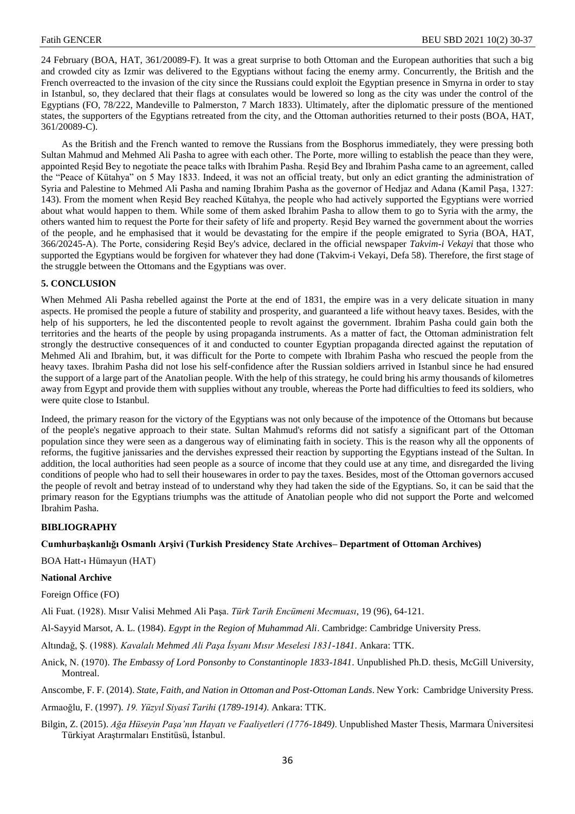24 February (BOA, HAT, 361/20089-F). It was a great surprise to both Ottoman and the European authorities that such a big and crowded city as Izmir was delivered to the Egyptians without facing the enemy army. Concurrently, the British and the French overreacted to the invasion of the city since the Russians could exploit the Egyptian presence in Smyrna in order to stay in Istanbul, so, they declared that their flags at consulates would be lowered so long as the city was under the control of the Egyptians (FO, 78/222, Mandeville to Palmerston, 7 March 1833). Ultimately, after the diplomatic pressure of the mentioned states, the supporters of the Egyptians retreated from the city, and the Ottoman authorities returned to their posts (BOA, HAT, 361/20089-C).

As the British and the French wanted to remove the Russians from the Bosphorus immediately, they were pressing both Sultan Mahmud and Mehmed Ali Pasha to agree with each other. The Porte, more willing to establish the peace than they were, appointed Reşid Bey to negotiate the peace talks with Ibrahim Pasha. Reşid Bey and Ibrahim Pasha came to an agreement, called the "Peace of Kütahya" on 5 May 1833. Indeed, it was not an official treaty, but only an edict granting the administration of Syria and Palestine to Mehmed Ali Pasha and naming Ibrahim Pasha as the governor of Hedjaz and Adana (Kamil Paşa, 1327: 143). From the moment when Reşid Bey reached Kütahya, the people who had actively supported the Egyptians were worried about what would happen to them. While some of them asked Ibrahim Pasha to allow them to go to Syria with the army, the others wanted him to request the Porte for their safety of life and property. Reşid Bey warned the government about the worries of the people, and he emphasised that it would be devastating for the empire if the people emigrated to Syria (BOA, HAT, 366/20245-A). The Porte, considering Reşid Bey's advice, declared in the official newspaper *Takvim-i Vekayi* that those who supported the Egyptians would be forgiven for whatever they had done (Takvim-i Vekayi, Defa 58). Therefore, the first stage of the struggle between the Ottomans and the Egyptians was over.

## **5. CONCLUSION**

When Mehmed Ali Pasha rebelled against the Porte at the end of 1831, the empire was in a very delicate situation in many aspects. He promised the people a future of stability and prosperity, and guaranteed a life without heavy taxes. Besides, with the help of his supporters, he led the discontented people to revolt against the government. Ibrahim Pasha could gain both the territories and the hearts of the people by using propaganda instruments. As a matter of fact, the Ottoman administration felt strongly the destructive consequences of it and conducted to counter Egyptian propaganda directed against the reputation of Mehmed Ali and Ibrahim, but, it was difficult for the Porte to compete with Ibrahim Pasha who rescued the people from the heavy taxes. Ibrahim Pasha did not lose his self-confidence after the Russian soldiers arrived in Istanbul since he had ensured the support of a large part of the Anatolian people. With the help of this strategy, he could bring his army thousands of kilometres away from Egypt and provide them with supplies without any trouble, whereas the Porte had difficulties to feed its soldiers, who were quite close to Istanbul.

Indeed, the primary reason for the victory of the Egyptians was not only because of the impotence of the Ottomans but because of the people's negative approach to their state. Sultan Mahmud's reforms did not satisfy a significant part of the Ottoman population since they were seen as a dangerous way of eliminating faith in society. This is the reason why all the opponents of reforms, the fugitive janissaries and the dervishes expressed their reaction by supporting the Egyptians instead of the Sultan. In addition, the local authorities had seen people as a source of income that they could use at any time, and disregarded the living conditions of people who had to sell their housewares in order to pay the taxes. Besides, most of the Ottoman governors accused the people of revolt and betray instead of to understand why they had taken the side of the Egyptians. So, it can be said that the primary reason for the Egyptians triumphs was the attitude of Anatolian people who did not support the Porte and welcomed Ibrahim Pasha.

## **BIBLIOGRAPHY**

## **Cumhurbaşkanlığı Osmanlı Arşivi (Turkish Presidency State Archives– Department of Ottoman Archives)**

BOA Hatt-ı Hümayun (HAT)

### **National Archive**

Foreign Office (FO)

Ali Fuat. (1928). Mısır Valisi Mehmed Ali Paşa. *Türk Tarih Encümeni Mecmuası*, 19 (96), 64-121.

Al-Sayyid Marsot, A. L. (1984). *Egypt in the Region of Muhammad Ali*. Cambridge: Cambridge University Press.

Altındağ, Ş. (1988). *Kavalalı Mehmed Ali Paşa İsyanı Mısır Meselesi 1831-1841*. Ankara: TTK.

Anick, N. (1970). *The Embassy of Lord Ponsonby to Constantinople 1833-1841*. Unpublished Ph.D. thesis, McGill University, Montreal.

Anscombe, F. F. (2014). *State, Faith, and Nation in Ottoman and Post-Ottoman Lands*. New York: Cambridge University Press.

Armaoğlu, F. (1997). *19. Yüzyıl Siyasî Tarihi (1789-1914)*. Ankara: TTK.

Bilgin, Z. (2015). *Ağa Hüseyin Paşa'nın Hayatı ve Faaliyetleri (1776-1849)*. Unpublished Master Thesis, Marmara Üniversitesi Türkiyat Araştırmaları Enstitüsü, İstanbul.